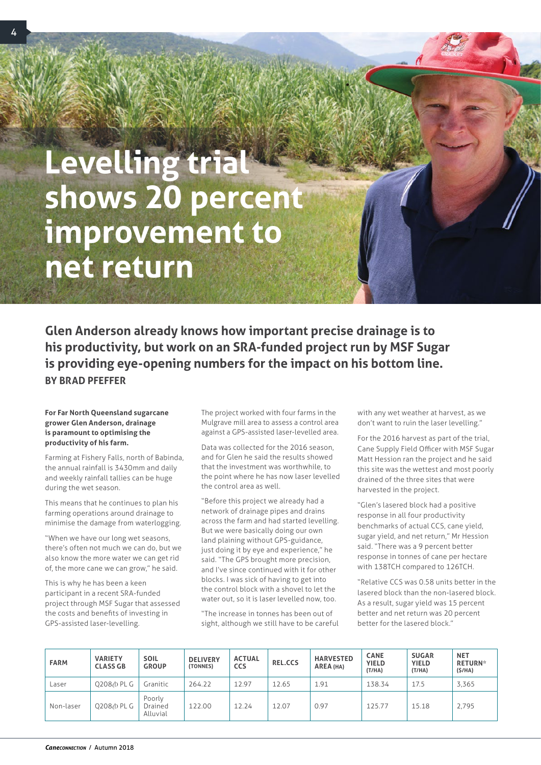## **Levelling trial shows 20 percent improvement to net return**

**Glen Anderson already knows how important precise drainage is to his productivity, but work on an SRA-funded project run by MSF Sugar is providing eye-opening numbers for the impact on his bottom line. BY BRAD PFEFFER**

## **For Far North Queensland sugarcane grower Glen Anderson, drainage is paramount to optimising the productivity of his farm.**

Farming at Fishery Falls, north of Babinda, the annual rainfall is 3430mm and daily and weekly rainfall tallies can be huge during the wet season.

This means that he continues to plan his farming operations around drainage to minimise the damage from waterlogging.

"When we have our long wet seasons, there's often not much we can do, but we also know the more water we can get rid of, the more cane we can grow," he said.

This is why he has been a keen participant in a recent SRA-funded project through MSF Sugar that assessed the costs and benefits of investing in GPS-assisted laser-levelling.

The project worked with four farms in the Mulgrave mill area to assess a control area against a GPS-assisted laser-levelled area.

Data was collected for the 2016 season, and for Glen he said the results showed that the investment was worthwhile, to the point where he has now laser levelled the control area as well.

"Before this project we already had a network of drainage pipes and drains across the farm and had started levelling. But we were basically doing our own land plaining without GPS-guidance, just doing it by eye and experience," he said. "The GPS brought more precision, and I've since continued with it for other blocks. I was sick of having to get into the control block with a shovel to let the water out, so it is laser levelled now, too.

"The increase in tonnes has been out of sight, although we still have to be careful

with any wet weather at harvest, as we don't want to ruin the laser levelling."

For the 2016 harvest as part of the trial, Cane Supply Field Officer with MSF Sugar Matt Hession ran the project and he said this site was the wettest and most poorly drained of the three sites that were harvested in the project.

"Glen's lasered block had a positive response in all four productivity benchmarks of actual CCS, cane yield, sugar yield, and net return," Mr Hession said. "There was a 9 percent better response in tonnes of cane per hectare with 138TCH compared to 126TCH.

"Relative CCS was 0.58 units better in the lasered block than the non-lasered block. As a result, sugar yield was 15 percent better and net return was 20 percent better for the lasered block."

| <b>FARM</b> | <b>VARIETY</b><br><b>CLASS GB</b> | <b>SOIL</b><br><b>GROUP</b>   | <b>DELIVERY</b><br>(TONNES) | <b>ACTUAL</b><br><b>CCS</b> | <b>REL.CCS</b> | <b>HARVESTED</b><br>AREA (HA) | <b>CANE</b><br><b>YIELD</b><br>(T/HA) | <b>SUGAR</b><br><b>YIELD</b><br>(T/HA) | <b>NET</b><br><b>RETURN*</b><br>(S/HA) |
|-------------|-----------------------------------|-------------------------------|-----------------------------|-----------------------------|----------------|-------------------------------|---------------------------------------|----------------------------------------|----------------------------------------|
| Laser       | 0208 / PL G                       | Granitic                      | 264.22                      | 12.97                       | 12.65          | 1.91                          | 138.34                                | 17.5                                   | 3,365                                  |
| Non-laser   | 0208/b PL G                       | Poorly<br>Drained<br>Alluvial | 122.00                      | 12.24                       | 12.07          | 0.97                          | 125.77                                | 15.18                                  | 2.795                                  |